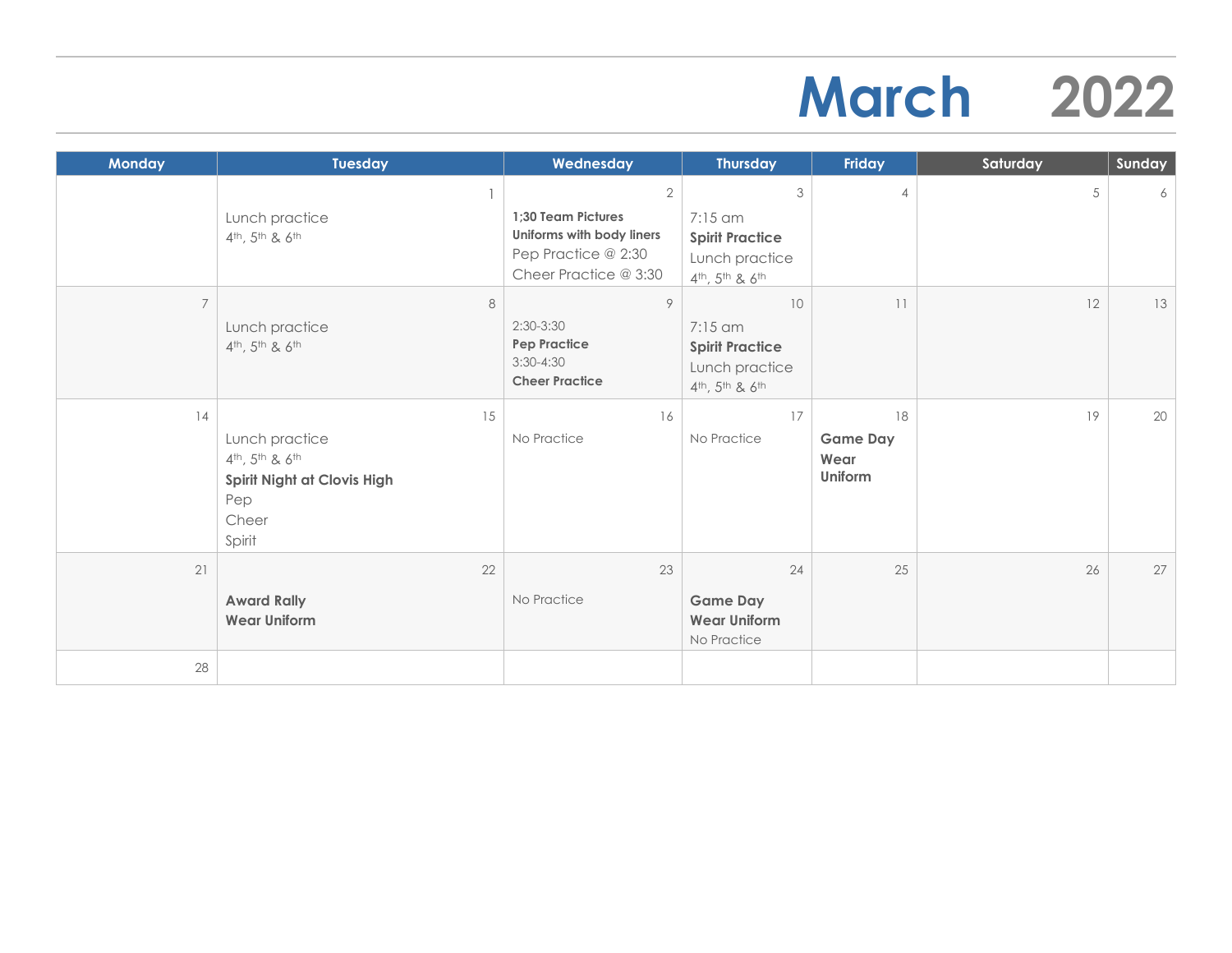## **March 2022**

| <b>Monday</b>  | <b>Tuesday</b>                                                                                                                       | Wednesday                                                                                                         | <b>Thursday</b>                                                                                                    | Friday                                   | Saturday   | Sunday |
|----------------|--------------------------------------------------------------------------------------------------------------------------------------|-------------------------------------------------------------------------------------------------------------------|--------------------------------------------------------------------------------------------------------------------|------------------------------------------|------------|--------|
|                | Lunch practice<br>4 <sup>th</sup> , 5 <sup>th</sup> & 6 <sup>th</sup>                                                                | $\overline{2}$<br>1;30 Team Pictures<br>Uniforms with body liners<br>Pep Practice @ 2:30<br>Cheer Practice @ 3:30 | 3<br>7:15 am<br><b>Spirit Practice</b><br>Lunch practice<br>4th, 5th & 6th                                         | $\overline{4}$                           | $\sqrt{5}$ | 6      |
| $\overline{7}$ | 8<br>Lunch practice<br>$4th$ , 5 <sup>th</sup> & 6 <sup>th</sup>                                                                     | 9<br>$2:30-3:30$<br><b>Pep Practice</b><br>$3:30-4:30$<br><b>Cheer Practice</b>                                   | 10<br>$7:15$ am<br><b>Spirit Practice</b><br>Lunch practice<br>4 <sup>th</sup> , 5 <sup>th</sup> & 6 <sup>th</sup> | 11                                       | 12         | 13     |
| 14             | 15<br>Lunch practice<br>4 <sup>th</sup> , 5 <sup>th</sup> & 6 <sup>th</sup><br>Spirit Night at Clovis High<br>Pep<br>Cheer<br>Spirit | 16<br>No Practice                                                                                                 | 17<br>No Practice                                                                                                  | 18<br><b>Game Day</b><br>Wear<br>Uniform | 19         | 20     |
| 21             | 22<br><b>Award Rally</b><br><b>Wear Uniform</b>                                                                                      | 23<br>No Practice                                                                                                 | 24<br><b>Game Day</b><br><b>Wear Uniform</b><br>No Practice                                                        | 25                                       | 26         | 27     |
| 28             |                                                                                                                                      |                                                                                                                   |                                                                                                                    |                                          |            |        |